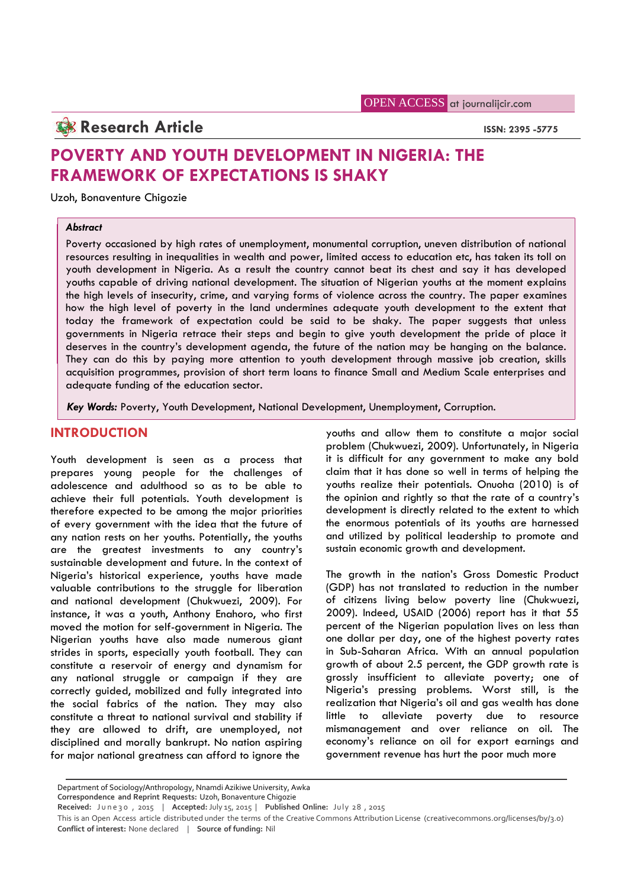## **Research Article ISSN: 2395 -5775**

# **POVERTY AND YOUTH DEVELOPMENT IN NIGERIA: THE FRAMEWORK OF EXPECTATIONS IS SHAKY**

Uzoh, Bonaventure Chigozie

#### *Abstract*

Poverty occasioned by high rates of unemployment, monumental corruption, uneven distribution of national resources resulting in inequalities in wealth and power, limited access to education etc, has taken its toll on youth development in Nigeria. As a result the country cannot beat its chest and say it has developed youths capable of driving national development. The situation of Nigerian youths at the moment explains the high levels of insecurity, crime, and varying forms of violence across the country. The paper examines how the high level of poverty in the land undermines adequate youth development to the extent that today the framework of expectation could be said to be shaky. The paper suggests that unless governments in Nigeria retrace their steps and begin to give youth development the pride of place it deserves in the country's development agenda, the future of the nation may be hanging on the balance. They can do this by paying more attention to youth development through massive job creation, skills acquisition programmes, provision of short term loans to finance Small and Medium Scale enterprises and adequate funding of the education sector.

*Key Words:* Poverty, Youth Development, National Development, Unemployment, Corruption.

## **INTRODUCTION**

Youth development is seen as a process that prepares young people for the challenges of adolescence and adulthood so as to be able to achieve their full potentials. Youth development is therefore expected to be among the major priorities of every government with the idea that the future of any nation rests on her youths. Potentially, the youths are the greatest investments to any country's sustainable development and future. In the context of Nigeria's historical experience, youths have made valuable contributions to the struggle for liberation and national development (Chukwuezi, 2009). For instance, it was a youth, Anthony Enahoro, who first moved the motion for self-government in Nigeria. The Nigerian youths have also made numerous giant strides in sports, especially youth football. They can constitute a reservoir of energy and dynamism for any national struggle or campaign if they are correctly guided, mobilized and fully integrated into the social fabrics of the nation. They may also constitute a threat to national survival and stability if they are allowed to drift, are unemployed, not disciplined and morally bankrupt. No nation aspiring for major national greatness can afford to ignore the

youths and allow them to constitute a major social problem (Chukwuezi, 2009). Unfortunately, in Nigeria it is difficult for any government to make any bold claim that it has done so well in terms of helping the youths realize their potentials. Onuoha (2010) is of the opinion and rightly so that the rate of a country's development is directly related to the extent to which the enormous potentials of its youths are harnessed and utilized by political leadership to promote and sustain economic growth and development.

The growth in the nation's Gross Domestic Product (GDP) has not translated to reduction in the number of citizens living below poverty line (Chukwuezi, 2009). Indeed, USAID (2006) report has it that 55 percent of the Nigerian population lives on less than one dollar per day, one of the highest poverty rates in Sub-Saharan Africa. With an annual population growth of about 2.5 percent, the GDP growth rate is grossly insufficient to alleviate poverty; one of Nigeria's pressing problems. Worst still, is the realization that Nigeria's oil and gas wealth has done little to alleviate poverty due to resource mismanagement and over reliance on oil. The economy's reliance on oil for export earnings and government revenue has hurt the poor much more

Department of Sociology/Anthropology, Nnamdi Azikiwe University, Awka **Correspondence and Reprint Requests:** Uzoh, Bonaventure Chigozie

Department of Sociology/Anthropology, Nnamdi Azikiwe University, Awka<br>Department of Sociology/Anthropology, Nnamdi Azikiwe University, Awka<br>Correspondence and Reprint Requests: Uzoh, Bonaventure Chigozie<br>Received: June30, **Conflict of interest:** None declared | **Source of funding:** Nil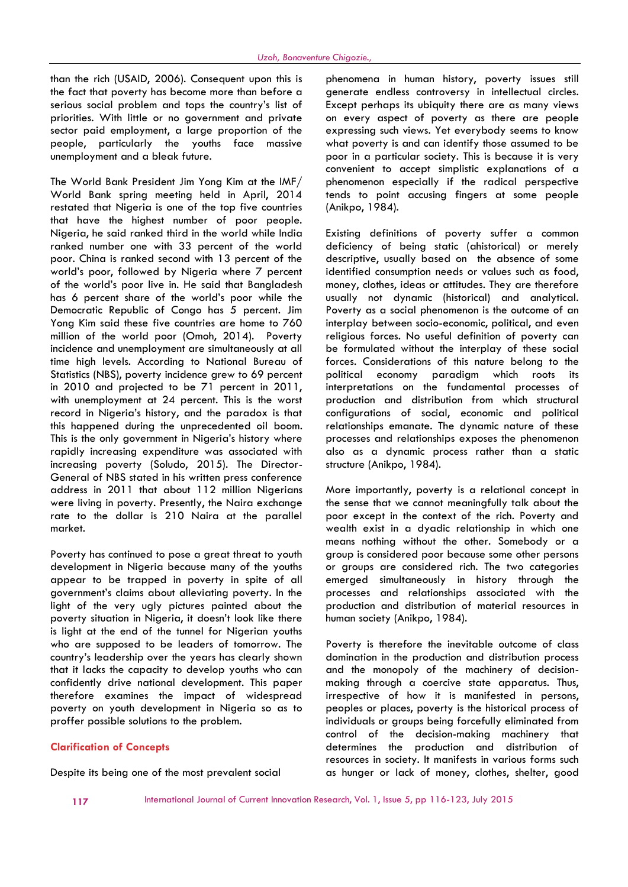than the rich (USAID, 2006). Consequent upon this is the fact that poverty has become more than before a serious social problem and tops the country's list of priorities. With little or no government and private sector paid employment, a large proportion of the people, particularly the youths face massive unemployment and a bleak future.

The World Bank President Jim Yong Kim at the IMF/ World Bank spring meeting held in April, 2014 restated that Nigeria is one of the top five countries that have the highest number of poor people. Nigeria, he said ranked third in the world while India ranked number one with 33 percent of the world poor. China is ranked second with 13 percent of the world's poor, followed by Nigeria where 7 percent of the world's poor live in. He said that Bangladesh has 6 percent share of the world's poor while the Democratic Republic of Congo has 5 percent. Jim Yong Kim said these five countries are home to 760 million of the world poor (Omoh, 2014). Poverty incidence and unemployment are simultaneously at all time high levels. According to National Bureau of Statistics (NBS), poverty incidence grew to 69 percent in 2010 and projected to be 71 percent in 2011, with unemployment at 24 percent. This is the worst record in Nigeria's history, and the paradox is that this happened during the unprecedented oil boom. This is the only government in Nigeria's history where rapidly increasing expenditure was associated with increasing poverty (Soludo, 2015). The Director- General of NBS stated in his written press conference address in 2011 that about 112 million Nigerians were living in poverty. Presently, the Naira exchange rate to the dollar is 210 Naira at the parallel market.

Poverty has continued to pose a great threat to youth development in Nigeria because many of the youths appear to be trapped in poverty in spite of all government's claims about alleviating poverty. In the light of the very ugly pictures painted about the poverty situation in Nigeria, it doesn't look like there is light at the end of the tunnel for Nigerian youths who are supposed to be leaders of tomorrow. The country's leadership over the years has clearly shown that it lacks the capacity to develop youths who can confidently drive national development. This paper therefore examines the impact of widespread poverty on youth development in Nigeria so as to proffer possible solutions to the problem.

#### **Clarification of Concepts**

Despite its being one of the most prevalent social

phenomena in human history, poverty issues still generate endless controversy in intellectual circles. Except perhaps its ubiquity there are as many views on every aspect of poverty as there are people expressing such views. Yet everybody seems to know what poverty is and can identify those assumed to be poor in a particular society. This is because it is very convenient to accept simplistic explanations of a phenomenon especially if the radical perspective tends to point accusing fingers at some people (Anikpo, 1984).

Existing definitions of poverty suffer a common deficiency of being static (ahistorical) or merely descriptive, usually based on the absence of some identified consumption needs or values such as food, money, clothes, ideas or attitudes. They are therefore usually not dynamic (historical) and analytical. Poverty as a social phenomenon is the outcome of an interplay between socio-economic, political, and even religious forces. No useful definition of poverty can be formulated without the interplay of these social forces. Considerations of this nature belong to the political economy paradigm which roots its interpretations on the fundamental processes of production and distribution from which structural configurations of social, economic and political relationships emanate. The dynamic nature of these processes and relationships exposes the phenomenon also as a dynamic process rather than a static structure (Anikpo, 1984).

More importantly, poverty is a relational concept in the sense that we cannot meaningfully talk about the poor except in the context of the rich. Poverty and wealth exist in a dyadic relationship in which one means nothing without the other. Somebody or a group is considered poor because some other persons or groups are considered rich. The two categories emerged simultaneously in history through the processes and relationships associated with the production and distribution of material resources in human society (Anikpo, 1984).

Poverty is therefore the inevitable outcome of class domination in the production and distribution process and the monopoly of the machinery of decision making through a coercive state apparatus. Thus, irrespective of how it is manifested in persons, peoples or places, poverty is the historical process of individuals or groups being forcefully eliminated from control of the decision-making machinery that determines the production and distribution of resources in society. It manifests in various forms such as hunger or lack of money, clothes, shelter, good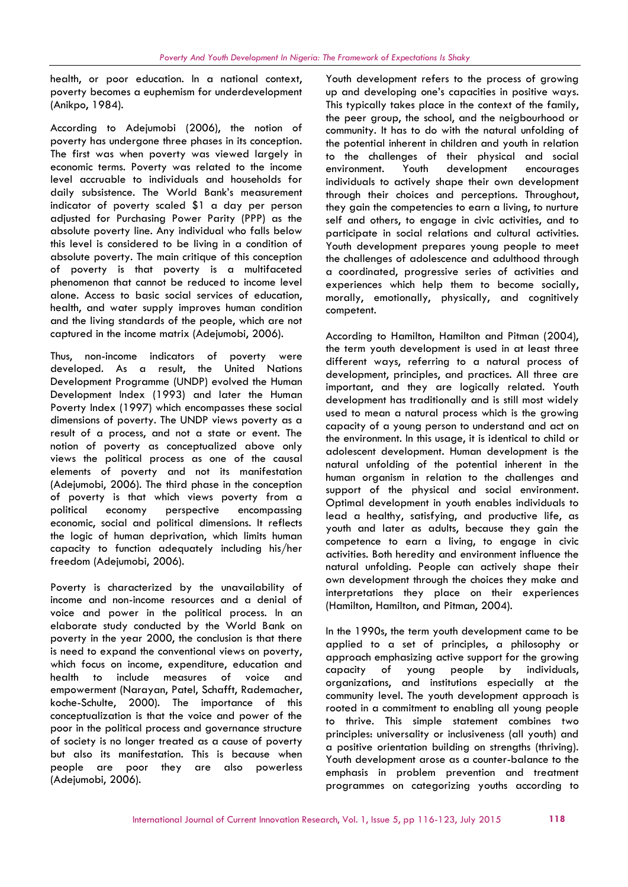health, or poor education. In a national context, poverty becomes a euphemism for underdevelopment (Anikpo, 1984).

According to Adejumobi (2006), the notion of poverty has undergone three phases in its conception. The first was when poverty was viewed largely in economic terms. Poverty was related to the income level accruable to individuals and households for daily subsistence. The World Bank's measurement indicator of poverty scaled \$1 a day per person adjusted for Purchasing Power Parity (PPP) as the absolute poverty line. Any individual who falls below this level is considered to be living in a condition of absolute poverty. The main critique of this conception of poverty is that poverty is a multifaceted phenomenon that cannot be reduced to income level alone. Access to basic social services of education, health, and water supply improves human condition and the living standards of the people, which are not captured in the income matrix (Adejumobi, 2006).

Thus, non-income indicators of poverty were developed. As a result, the United Nations Development Programme (UNDP) evolved the Human Development Index (1993) and later the Human Poverty Index (1997) which encompasses these social dimensions of poverty. The UNDP views poverty as a result of a process, and not a state or event. The notion of poverty as conceptualized above only views the political process as one of the causal elements of poverty and not its manifestation (Adejumobi, 2006). The third phase in the conception of poverty is that which views poverty from a political economy perspective encompassing economic, social and political dimensions. It reflects the logic of human deprivation, which limits human capacity to function adequately including his/her freedom (Adejumobi, 2006).

Poverty is characterized by the unavailability of income and non-income resources and a denial of voice and power in the political process. In an elaborate study conducted by the World Bank on poverty in the year 2000, the conclusion is that there is need to expand the conventional views on poverty, which focus on income, expenditure, education and capacity health to include measures of voice and empowerment (Narayan, Patel, Schafft, Rademacher, koche-Schulte, 2000). The importance of this conceptualization is that the voice and power of the poor in the political process and governance structure of society is no longer treated as a cause of poverty but also its manifestation. This is because when people are poor they are also powerless (Adejumobi, 2006).

Youth development refers to the process of growing up and developing one's capacities in positive ways. This typically takes place in the context of the family, the peer group, the school, and the neigbourhood or community. It has to do with the natural unfolding of the potential inherent in children and youth in relation to the challenges of their physical and social Youth development encourages individuals to actively shape their own development through their choices and perceptions. Throughout, they gain the competencies to earn a living, to nurture self and others, to engage in civic activities, and to participate in social relations and cultural activities. Youth development prepares young people to meet the challenges of adolescence and adulthood through a coordinated, progressive series of activities and experiences which help them to become socially, morally, emotionally, physically, and cognitively competent.

According to Hamilton, Hamilton and Pitman (2004), the term youth development is used in at least three different ways, referring to a natural process of development, principles, and practices. All three are important, and they are logically related. Youth development has traditionally and is still most widely used to mean a natural process which is the growing capacity of a young person to understand and act on the environment. In this usage, it is identical to child or adolescent development. Human development is the natural unfolding of the potential inherent in the human organism in relation to the challenges and support of the physical and social environment. Optimal development in youth enables individuals to lead a healthy, satisfying, and productive life, as youth and later as adults, because they gain the competence to earn a living, to engage in civic activities. Both heredity and environment influence the natural unfolding. People can actively shape their own development through the choices they make and interpretations they place on their experiences (Hamilton, Hamilton, and Pitman, 2004).

In the 1990s, the term youth development came to be applied to a set of principles, a philosophy or approach emphasizing active support for the growing of young people by individuals, organizations, and institutions especially at the community level. The youth development approach is rooted in a commitment to enabling all young people to thrive. This simple statement combines two principles: universality or inclusiveness (all youth) and a positive orientation building on strengths (thriving). Youth development arose as a counter-balance to the emphasis in problem prevention and treatment programmes on categorizing youths according to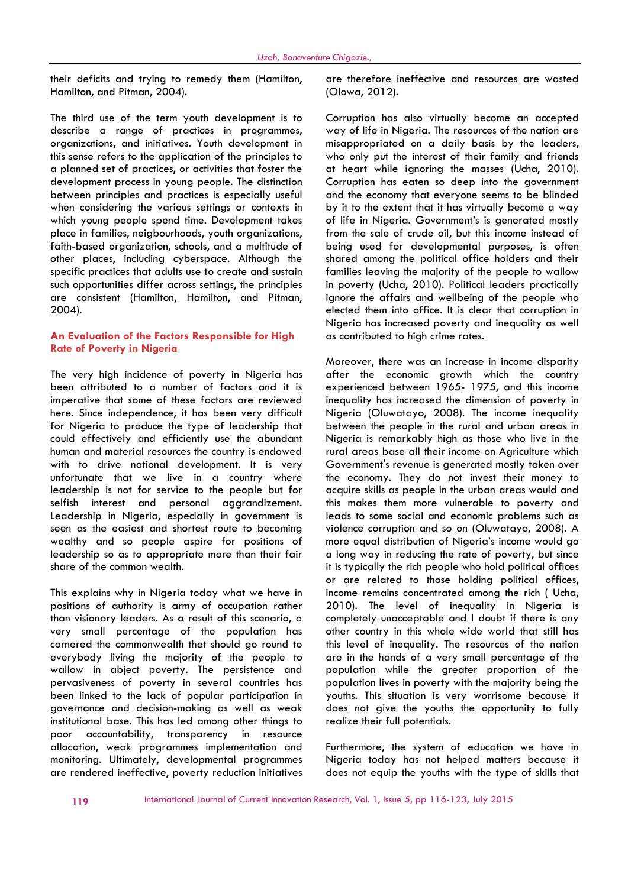their deficits and trying to remedy them (Hamilton, Hamilton, and Pitman, 2004).

The third use of the term youth development is to describe a range of practices in programmes, organizations, and initiatives. Youth development in this sense refers to the application of the principles to a planned set of practices, or activities that foster the development process in young people. The distinction between principles and practices is especially useful when considering the various settings or contexts in which young people spend time. Development takes place in families, neigbourhoods, youth organizations, faith-based organization, schools, and a multitude of other places, including cyberspace. Although the specific practices that adults use to create and sustain such opportunities differ across settings, the principles are consistent (Hamilton, Hamilton, and Pitman, 2004).

#### **An Evaluation of the Factors Responsible for High Rate of Poverty in Nigeria**

The very high incidence of poverty in Nigeria has been attributed to a number of factors and it is imperative that some of these factors are reviewed here. Since independence, it has been very difficult for Nigeria to produce the type of leadership that could effectively and efficiently use the abundant human and material resources the country is endowed with to drive national development. It is very unfortunate that we live in a country where leadership is not for service to the people but for selfish interest and personal aggrandizement. Leadership in Nigeria, especially in government is seen as the easiest and shortest route to becoming wealthy and so people aspire for positions of leadership so as to appropriate more than their fair share of the common wealth.

This explains why in Nigeria today what we have in positions of authority is army of occupation rather than visionary leaders. As a result of this scenario, a very small percentage of the population has cornered the commonwealth that should go round to everybody living the majority of the people to wallow in abject poverty. The persistence and pervasiveness of poverty in several countries has been linked to the lack of popular participation in governance and decision-making as well as weak institutional base. This has led among other things to poor accountability, transparency in resource allocation, weak programmes implementation and monitoring. Ultimately, developmental programmes are rendered ineffective, poverty reduction initiatives

are therefore ineffective and resources are wasted (Olowa, 2012).

Corruption has also virtually become an accepted way of life in Nigeria. The resources of the nation are misappropriated on a daily basis by the leaders, who only put the interest of their family and friends at heart while ignoring the masses (Ucha, 2010). Corruption has eaten so deep into the government and the economy that everyone seems to be blinded by it to the extent that it has virtually become a way of life in Nigeria. Government's is generated mostly from the sale of crude oil, but this income instead of being used for developmental purposes, is often shared among the political office holders and their families leaving the majority of the people to wallow in poverty (Ucha, 2010). Political leaders practically ignore the affairs and wellbeing of the people who elected them into office. It is clear that corruption in Nigeria has increased poverty and inequality as well as contributed to high crime rates.

Moreover, there was an increase in income disparity after the economic growth which the country experienced between 1965- 1975, and this income inequality has increased the dimension of poverty in Nigeria (Oluwatayo, 2008). The income inequality between the people in the rural and urban areas in Nigeria is remarkably high as those who live in the rural areas base all their income on Agriculture which Government's revenue is generated mostly taken over the economy. They do not invest their money to acquire skills as people in the urban areas would and this makes them more vulnerable to poverty and leads to some social and economic problems such as violence corruption and so on (Oluwatayo, 2008). A more equal distribution of Nigeria's income would go a long way in reducing the rate of poverty, but since it is typically the rich people who hold political offices or are related to those holding political offices, income remains concentrated among the rich ( Ucha, 2010). The level of inequality in Nigeria is completely unacceptable and I doubt if there is any other country in this whole wide world that still has this level of inequality. The resources of the nation are in the hands of a very small percentage of the population while the greater proportion of the population lives in poverty with the majority being the youths. This situation is very worrisome because it does not give the youths the opportunity to fully realize their full potentials.

Furthermore, the system of education we have in Nigeria today has not helped matters because it does not equip the youths with the type of skills that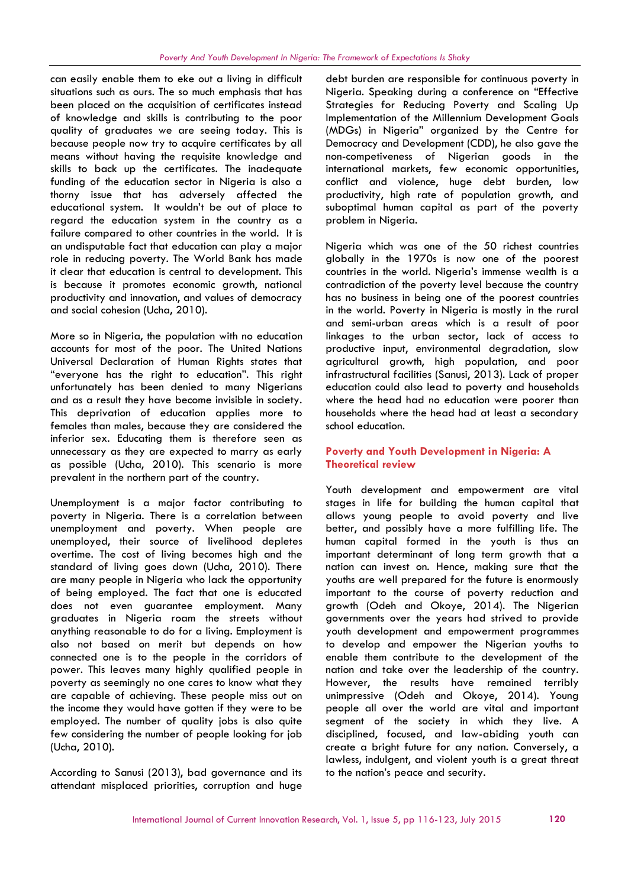can easily enable them to eke out a living in difficult situations such as ours. The so much emphasis that has been placed on the acquisition of certificates instead of knowledge and skills is contributing to the poor quality of graduates we are seeing today. This is because people now try to acquire certificates by all means without having the requisite knowledge and skills to back up the certificates. The inadequate funding of the education sector in Nigeria is also a thorny issue that has adversely affected the educational system. It wouldn't be out of place to regard the education system in the country as a failure compared to other countries in the world. It is an undisputable fact that education can play a major role in reducing poverty. The World Bank has made it clear that education is central to development. This is because it promotes economic growth, national productivity and innovation, and values of democracy and social cohesion (Ucha, 2010).

More so in Nigeria, the population with no education accounts for most of the poor. The United Nations Universal Declaration of Human Rights states that "everyone has the right to education". This right unfortunately has been denied to many Nigerians and as a result they have become invisible in society. This deprivation of education applies more to females than males, because they are considered the inferior sex. Educating them is therefore seen as unnecessary as they are expected to marry as early as possible (Ucha, 2010). This scenario is more prevalent in the northern part of the country.

Unemployment is a major factor contributing to poverty in Nigeria. There is a correlation between unemployment and poverty. When people are unemployed, their source of livelihood depletes overtime. The cost of living becomes high and the standard of living goes down (Ucha, 2010). There are many people in Nigeria who lack the opportunity of being employed. The fact that one is educated does not even guarantee employment. Many graduates in Nigeria roam the streets without anything reasonable to do for a living. Employment is also not based on merit but depends on how connected one is to the people in the corridors of power. This leaves many highly qualified people in poverty as seemingly no one cares to know what they are capable of achieving. These people miss out on the income they would have gotten if they were to be employed. The number of quality jobs is also quite few considering the number of people looking for job (Ucha, 2010).

According to Sanusi (2013), bad governance and its attendant misplaced priorities, corruption and huge

debt burden are responsible for continuous poverty in Nigeria. Speaking during a conference on "Effective Strategies for Reducing Poverty and Scaling Up Implementation of the Millennium Development Goals (MDGs) in Nigeria" organized by the Centre for Democracy and Development (CDD), he also gave the non-competiveness of Nigerian goods in the international markets, few economic opportunities, conflict and violence, huge debt burden, low productivity, high rate of population growth, and suboptimal human capital as part of the poverty problem in Nigeria.

Nigeria which was one of the 50 richest countries globally in the 1970s is now one of the poorest countries in the world. Nigeria's immense wealth is a contradiction of the poverty level because the country has no business in being one of the poorest countries in the world. Poverty in Nigeria is mostly in the rural and semi-urban areas which is a result of poor linkages to the urban sector, lack of access to productive input, environmental degradation, slow agricultural growth, high population, and poor infrastructural facilities (Sanusi, 2013). Lack of proper education could also lead to poverty and households where the head had no education were poorer than households where the head had at least a secondary school education.

## **Poverty and Youth Development in Nigeria: A Theoretical review**

Youth development and empowerment are vital stages in life for building the human capital that allows young people to avoid poverty and live better, and possibly have a more fulfilling life. The human capital formed in the youth is thus an important determinant of long term growth that a nation can invest on. Hence, making sure that the youths are well prepared for the future is enormously important to the course of poverty reduction and growth (Odeh and Okoye, 2014). The Nigerian governments over the years had strived to provide youth development and empowerment programmes to develop and empower the Nigerian youths to enable them contribute to the development of the nation and take over the leadership of the country. However, the results have remained terribly unimpressive (Odeh and Okoye, 2014). Young people all over the world are vital and important segment of the society in which they live. A disciplined, focused, and law-abiding youth can create a bright future for any nation. Conversely, a lawless, indulgent, and violent youth is a great threat to the nation's peace and security.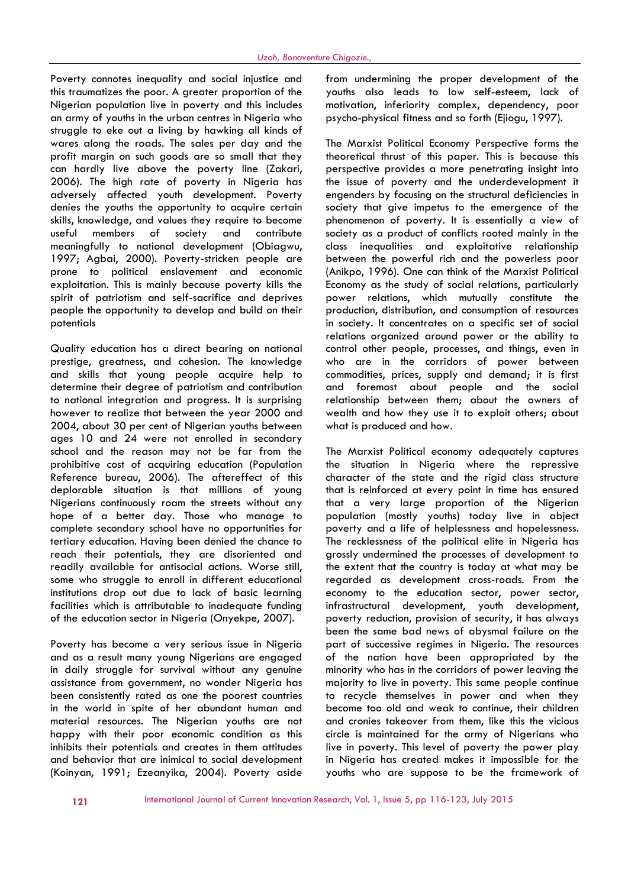Poverty connotes inequality and social injustice and this traumatizes the poor. A greater proportion of the Nigerian population live in poverty and this includes an army of youths in the urban centres in Nigeria who struggle to eke out a living by hawking all kinds of wares along the roads. The sales per day and the profit margin on such goods are so small that they can hardly live above the poverty line (Zakari, 2006). The high rate of poverty in Nigeria has adversely affected youth development. Poverty denies the youths the opportunity to acquire certain skills, knowledge, and values they require to become useful members of society and contribute meaningfully to national development (Obiagwu, 1997; Agbai, 2000). Poverty-stricken people are prone to political enslavement and economic exploitation. This is mainly because poverty kills the spirit of patriotism and self-sacrifice and deprives people the opportunity to develop and build on their potentials

Quality education has a direct bearing on national prestige, greatness, and cohesion. The knowledge and skills that young people acquire help to determine their degree of patriotism and contribution to national integration and progress. It is surprising however to realize that between the year 2000 and 2004, about 30 per cent of Nigerian youths between ages 10 and 24 were not enrolled in secondary school and the reason may not be far from the prohibitive cost of acquiring education (Population Reference bureau, 2006). The aftereffect of this deplorable situation is that millions of young Nigerians continuously roam the streets without any hope of a better day. Those who manage to complete secondary school have no opportunities for tertiary education. Having been denied the chance to reach their potentials, they are disoriented and readily available for antisocial actions. Worse still, some who struggle to enroll in different educational institutions drop out due to lack of basic learning facilities which is attributable to inadequate funding of the education sector in Nigeria (Onyekpe, 2007).

Poverty has become a very serious issue in Nigeria and as a result many young Nigerians are engaged in daily struggle for survival without any genuine assistance from government, no wonder Nigeria has been consistently rated as one the poorest countries in the world in spite of her abundant human and material resources. The Nigerian youths are not happy with their poor economic condition as this inhibits their potentials and creates in them attitudes and behavior that are inimical to social development (Koinyan, 1991; Ezeanyika, 2004). Poverty aside from undermining the proper development of the youths also leads to low self-esteem, lack of motivation, inferiority complex, dependency, poor psycho-physical fitness and so forth (Ejiogu, 1997).

The Marxist Political Economy Perspective forms the theoretical thrust of this paper. This is because this perspective provides a more penetrating insight into the issue of poverty and the underdevelopment it engenders by focusing on the structural deficiencies in society that give impetus to the emergence of the phenomenon of poverty. It is essentially a view of society as a product of conflicts rooted mainly in the class inequalities and exploitative relationship between the powerful rich and the powerless poor (Anikpo, 1996). One can think of the Marxist Political Economy as the study of social relations, particularly power relations, which mutually constitute the production, distribution, and consumption of resources in society. It concentrates on a specific set of social relations organized around power or the ability to control other people, processes, and things, even in who are in the corridors of power between commodities, prices, supply and demand; it is first foremost about people and the social relationship between them; about the owners of wealth and how they use it to exploit others; about what is produced and how.

The Marxist Political economy adequately captures the situation in Nigeria where the repressive character of the state and the rigid class structure that is reinforced at every point in time has ensured that a very large proportion of the Nigerian population (mostly youths) today live in abject poverty and a life of helplessness and hopelessness. The recklessness of the political elite in Nigeria has grossly undermined the processes of development to the extent that the country is today at what may be regarded as development cross-roads. From the economy to the education sector, power sector, infrastructural development, youth development, poverty reduction, provision of security, it has always been the same bad news of abysmal failure on the part of successive regimes in Nigeria. The resources of the nation have been appropriated by the minority who has in the corridors of power leaving the majority to live in poverty. This same people continue to recycle themselves in power and when they become too old and weak to continue, their children and cronies takeover from them, like this the vicious circle is maintained for the army of Nigerians who live in poverty. This level of poverty the power play in Nigeria has created makes it impossible for the youths who are suppose to be the framework of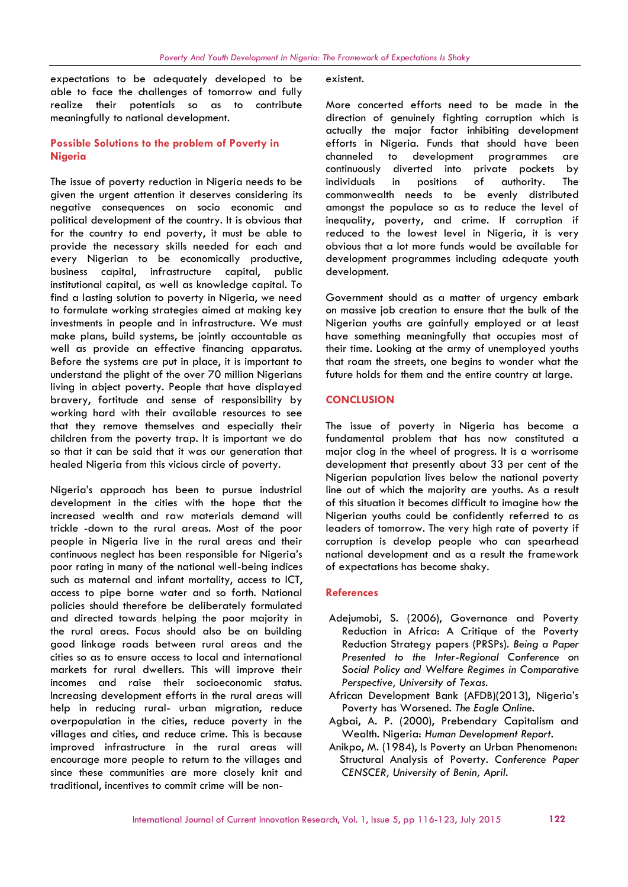expectations to be adequately developed to be able to face the challenges of tomorrow and fully realize their potentials so as to contribute meaningfully to national development.

### **Possible Solutions to the problem of Poverty in Nigeria**

The issue of poverty reduction in Nigeria needs to be given the urgent attention it deserves considering its negative consequences on socio economic and political development of the country. It is obvious that for the country to end poverty, it must be able to provide the necessary skills needed for each and every Nigerian to be economically productive, business capital, infrastructure capital, public institutional capital, as well as knowledge capital. To find a lasting solution to poverty in Nigeria, we need to formulate working strategies aimed at making key investments in people and in infrastructure. We must make plans, build systems, be jointly accountable as well as provide an effective financing apparatus. Before the systems are put in place, it is important to understand the plight of the over 70 million Nigerians living in abject poverty. People that have displayed bravery, fortitude and sense of responsibility by working hard with their available resources to see that they remove themselves and especially their children from the poverty trap. It is important we do so that it can be said that it was our generation that healed Nigeria from this vicious circle of poverty.

Nigeria's approach has been to pursue industrial development in the cities with the hope that the increased wealth and raw materials demand will trickle -down to the rural areas. Most of the poor people in Nigeria live in the rural areas and their continuous neglect has been responsible for Nigeria's poor rating in many of the national well-being indices such as maternal and infant mortality, access to ICT, access to pipe borne water and so forth. National policies should therefore be deliberately formulated and directed towards helping the poor majority in the rural areas. Focus should also be on building good linkage roads between rural areas and the cities so as to ensure access to local and international markets for rural dwellers. This will improve their incomes and raise their socioeconomic status. Increasing development efforts in the rural areas will help in reducing rural- urban migration, reduce overpopulation in the cities, reduce poverty in the villages and cities, and reduce crime. This is because improved infrastructure in the rural areas will encourage more people to return to the villages and since these communities are more closely knit and traditional, incentives to commit crime will be nonexistent.

More concerted efforts need to be made in the direction of genuinely fighting corruption which is actually the major factor inhibiting development efforts in Nigeria. Funds that should have been channeled to development programmes are continuously diverted into private pockets by individuals in positions of authority. The commonwealth needs to be evenly distributed amongst the populace so as to reduce the level of inequality, poverty, and crime. If corruption if reduced to the lowest level in Nigeria, it is very obvious that a lot more funds would be available for development programmes including adequate youth development.

Government should as a matter of urgency embark on massive job creation to ensure that the bulk of the Nigerian youths are gainfully employed or at least have something meaningfully that occupies most of their time. Looking at the army of unemployed youths that roam the streets, one begins to wonder what the future holds for them and the entire country at large.

#### **CONCLUSION**

The issue of poverty in Nigeria has become a fundamental problem that has now constituted a major clog in the wheel of progress. It is a worrisome development that presently about 33 per cent of the Nigerian population lives below the national poverty line out of which the majority are youths. As a result of this situation it becomes difficult to imagine how the Nigerian youths could be confidently referred to as leaders of tomorrow. The very high rate of poverty if corruption is develop people who can spearhead national development and as a result the framework of expectations has become shaky.

#### **References**

- Adejumobi, S. (2006), Governance and Poverty Reduction in Africa: A Critique of the Poverty Reduction Strategy papers (PRSPs). *Being a Paper Presented to the Inter-Regional Conference* on *Social Policy and Welfare Regimes in Comparative Perspective, University of Texas.*
- African Development Bank (AFDB)(2013), Nigeria's Poverty has Worsened. *The Eagle Online.*
- Agbai, A. P. (2000), Prebendary Capitalism and Wealth. Nigeria: *Human Development Report*.
- Anikpo, M. (1984), Is Poverty an Urban Phenomenon: Structural Analysis of Poverty. *Conference Paper CENSCER, University of Benin, April.*